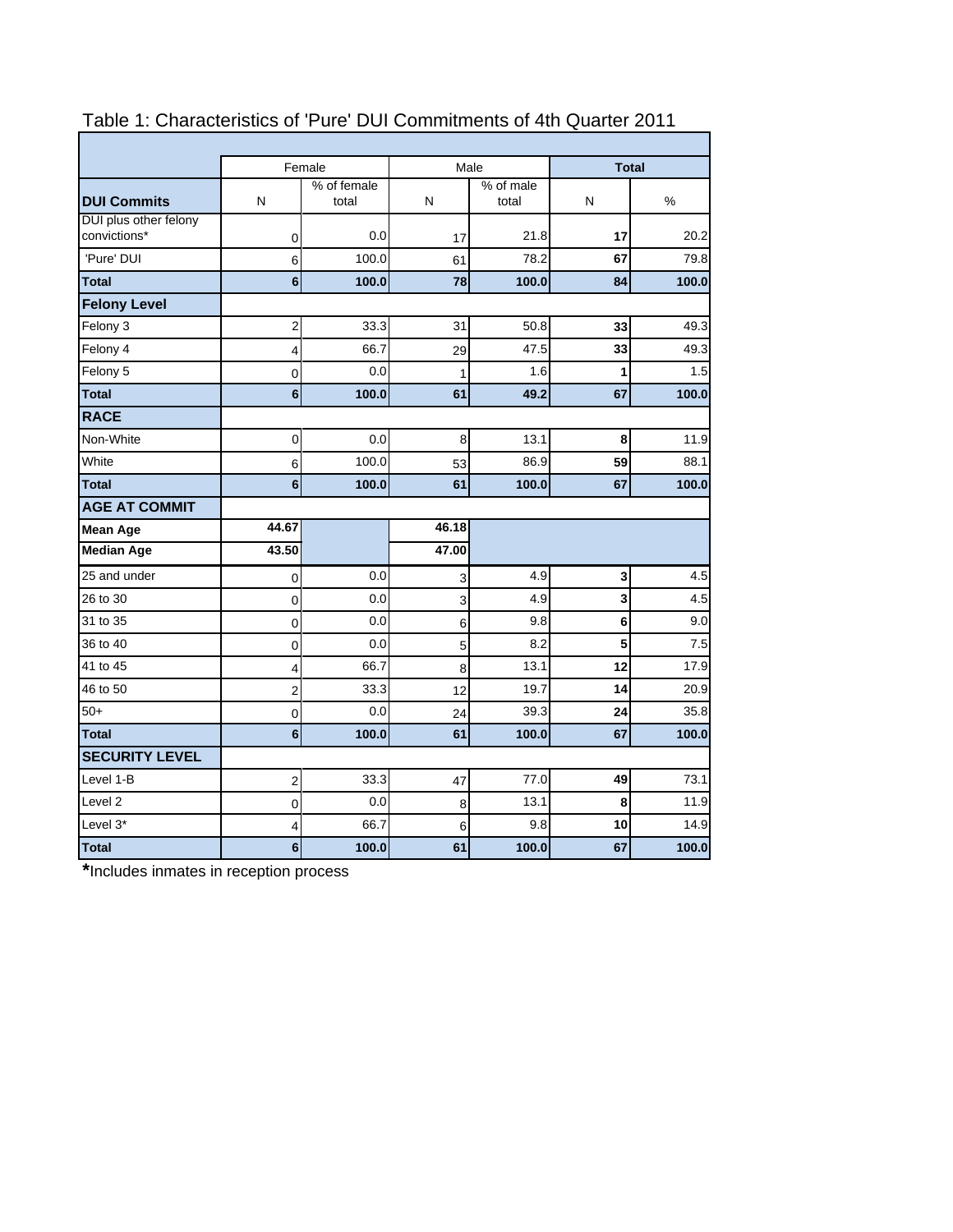|                         |                      |        |                    |      | <b>Total</b>  |  |
|-------------------------|----------------------|--------|--------------------|------|---------------|--|
| N                       | % of female<br>total | N      | % of male<br>total | N    | $\frac{0}{0}$ |  |
| 0                       | 0.0                  | 17     | 21.8               | 17   | 20.2          |  |
| 6                       | 100.0                | 61     | 78.2               | 67   | 79.8          |  |
| 6                       | 100.0                | 78     | 100.0              | 84   | 100.0         |  |
|                         |                      |        |                    |      |               |  |
| $\overline{c}$          | 33.3                 | 31     | 50.8               | 33   | 49.3          |  |
| 4                       | 66.7                 | 29     | 47.5               | 33   | 49.3          |  |
| 0                       | 0.0                  | 1      | 1.6                | 1    | 1.5           |  |
| $6\phantom{a}$          | 100.0                | 61     | 49.2               | 67   | 100.0         |  |
|                         |                      |        |                    |      |               |  |
| $\mathbf 0$             | 0.0                  | 8      | 13.1               | 8    | 11.9          |  |
| 6                       | 100.0                | 53     | 86.9               | 59   | 88.1          |  |
| 6                       | 100.0                | 61     | 100.0              | 67   | 100.0         |  |
|                         |                      |        |                    |      |               |  |
| 44.67                   |                      | 46.18  |                    |      |               |  |
| 43.50                   |                      | 47.00  |                    |      |               |  |
| 0                       | 0.0                  | 3      | 4.9                | 3    | 4.5           |  |
| 0                       | 0.0                  | 3      | 4.9                | 3    | 4.5           |  |
| 0                       | 0.0                  | 6      | 9.8                | 6    | 9.0           |  |
| 0                       | 0.0                  | 5      | 8.2                | 5    | 7.5           |  |
| 4                       | 66.7                 | 8      | 13.1               | 12   | 17.9          |  |
| $\overline{c}$          | 33.3                 | 12     | 19.7               | 14   | 20.9          |  |
| 0                       | 0.0                  | 24     | 39.3               | 24   | 35.8          |  |
| 6                       | 100.0                | 61     | 100.0              | 67   | 100.0         |  |
|                         |                      |        |                    |      |               |  |
| $\overline{\mathbf{c}}$ | 33.3                 | 47     | 77.0               | 49   | 73.1          |  |
| $\overline{0}$          | 0.0                  | 8      | 13.1               | 8    | 11.9          |  |
| 4                       | 66.7                 | 6      | 9.8                | 10   | 14.9          |  |
| 6                       | 100.0                | 61     | 100.0              | 67   | 100.0         |  |
|                         |                      | Female |                    | Male |               |  |

## Table 1: Characteristics of 'Pure' DUI Commitments of 4th Quarter 2011

 $\overline{ }$ 

**\***Includes inmates in reception process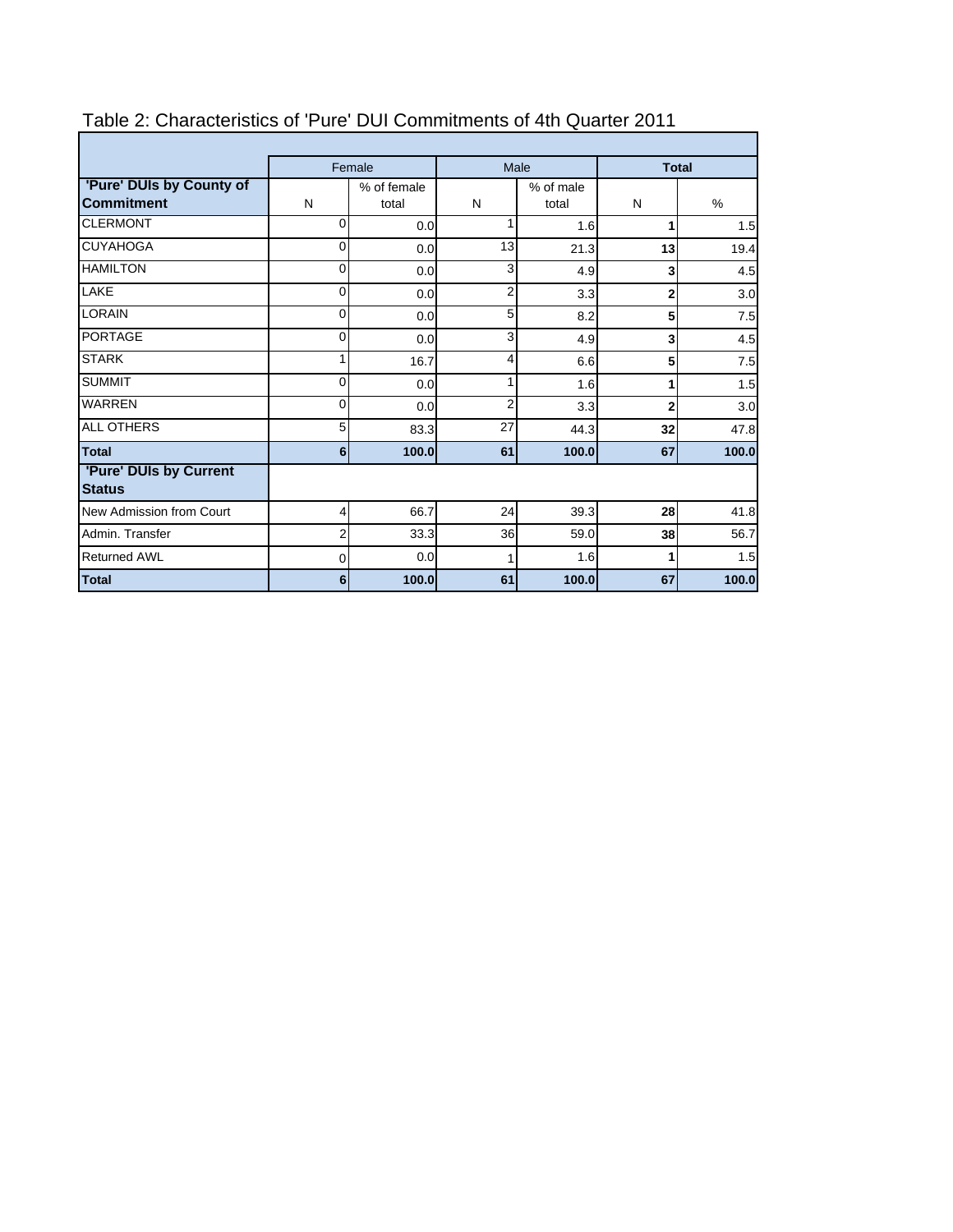|                                               | Female                    |       |                         | Male  | <b>Total</b>   |                  |
|-----------------------------------------------|---------------------------|-------|-------------------------|-------|----------------|------------------|
| 'Pure' DUIs by County of<br><b>Commitment</b> | % of female<br>N<br>total |       | % of male<br>N<br>total |       | N              | $\%$             |
| <b>CLERMONT</b>                               | 0                         | 0.0   | 1                       | 1.6   | 1              | 1.5              |
| <b>CUYAHOGA</b>                               | 0                         | 0.0   | 13                      | 21.3  | 13             | 19.4             |
| <b>HAMILTON</b>                               | $\overline{O}$            | 0.0   | 3                       | 4.9   | $\mathbf{3}$   | 4.5              |
| LAKE                                          | 0                         | 0.0   | $\overline{2}$          | 3.3   | $\mathbf 2$    | 3.0              |
| <b>LORAIN</b>                                 | 0                         | 0.0   | 5                       | 8.2   | 5              | 7.5              |
| <b>PORTAGE</b>                                | 0                         | 0.0   | 3                       | 4.9   | $\mathbf{3}$   | 4.5              |
| <b>STARK</b>                                  | 1                         | 16.7  | 4                       | 6.6   | 5              | 7.5              |
| <b>SUMMIT</b>                                 | 0                         | 0.0   | 1                       | 1.6   |                | 1.5              |
| <b>WARREN</b>                                 | 0                         | 0.0   | 2                       | 3.3   | $\overline{2}$ | 3.0 <sub>l</sub> |
| <b>ALL OTHERS</b>                             | 5 <sub>l</sub>            | 83.3  | 27                      | 44.3  | 32             | 47.8             |
| <b>Total</b>                                  | 6 <sup>1</sup>            | 100.0 | 61                      | 100.0 | 67             | 100.0            |
| 'Pure' DUIs by Current<br><b>Status</b>       |                           |       |                         |       |                |                  |
| New Admission from Court                      | $\overline{4}$            | 66.7  | 24                      | 39.3  | 28             | 41.8             |
| Admin, Transfer                               | $\overline{2}$            | 33.3  | 36                      | 59.0  | 38             | 56.7             |
| <b>Returned AWL</b>                           | 0                         | 0.0   | 1                       | 1.6   |                | 1.5              |
| Total                                         | 6                         | 100.0 | 61                      | 100.0 | 67             | 100.0            |

## Table 2: Characteristics of 'Pure' DUI Commitments of 4th Quarter 2011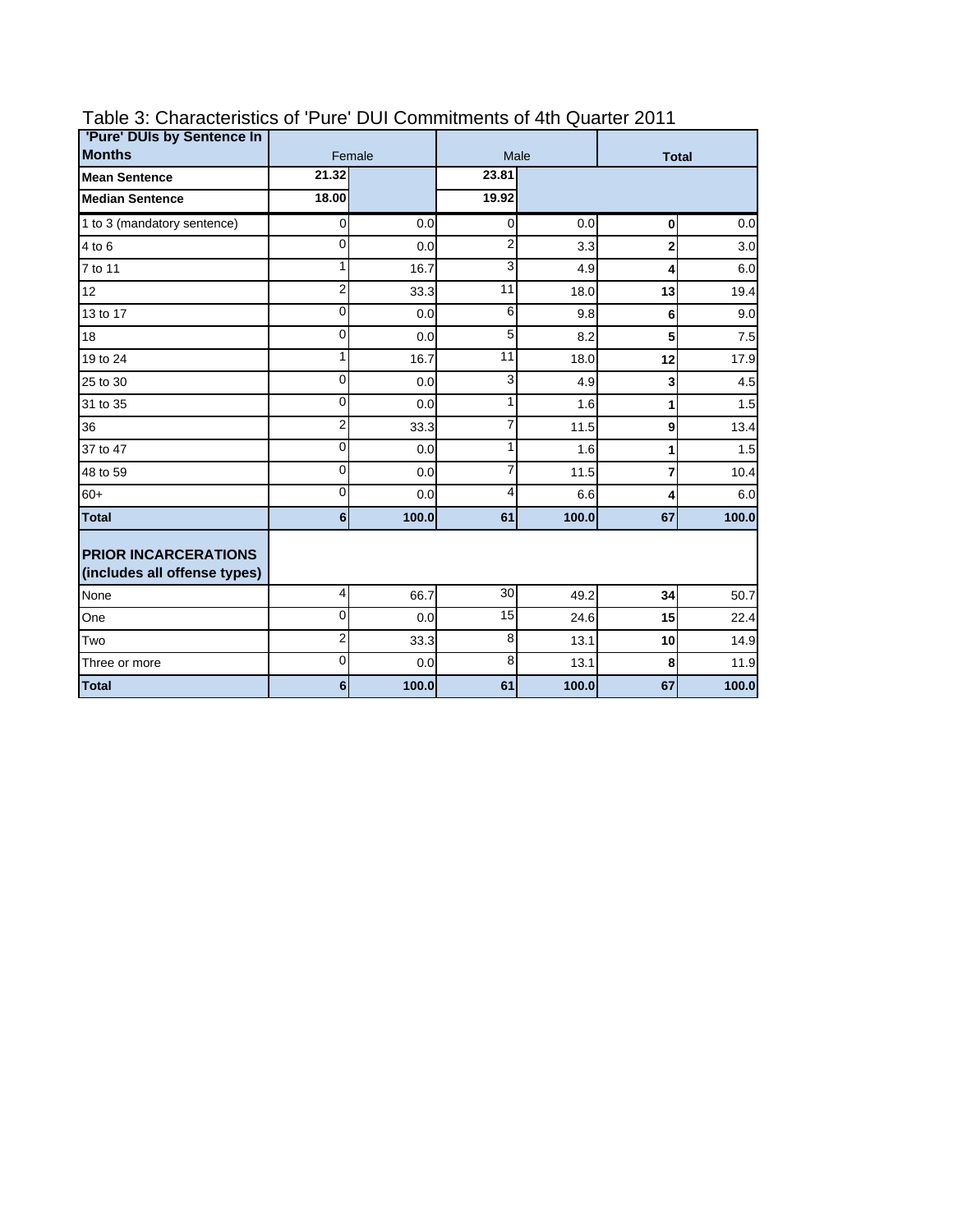| 'Pure' DUIs by Sentence In                                  |                  |        |                |       |              |       |
|-------------------------------------------------------------|------------------|--------|----------------|-------|--------------|-------|
| <b>Months</b>                                               |                  | Female |                | Male  | <b>Total</b> |       |
| <b>Mean Sentence</b>                                        | 21.32            |        | 23.81          |       |              |       |
| <b>Median Sentence</b>                                      | 18.00            |        | 19.92          |       |              |       |
| 1 to 3 (mandatory sentence)                                 | $\overline{O}$   | 0.0    | $\Omega$       | 0.0   | $\bf{0}$     | 0.0   |
| 4 to 6                                                      | $\mathbf{0}$     | 0.0    | $\overline{2}$ | 3.3   | $\mathbf{2}$ | 3.0   |
| 7 to 11                                                     | 1                | 16.7   | 3              | 4.9   | 4            | 6.0   |
| 12                                                          | $\overline{2}$   | 33.3   | 11             | 18.0  | 13           | 19.4  |
| 13 to 17                                                    | 0                | 0.0    | 6              | 9.8   | 6            | 9.0   |
| 18                                                          | $\mathbf{0}$     | 0.0    | 5              | 8.2   | 5            | 7.5   |
| 19 to 24                                                    | 1                | 16.7   | 11             | 18.0  | 12           | 17.9  |
| 25 to 30                                                    | $\mathbf{0}$     | 0.0    | 3              | 4.9   | 3            | 4.5   |
| 31 to 35                                                    | $\Omega$         | 0.0    | 1              | 1.6   | 1            | 1.5   |
| 36                                                          | $\overline{2}$   | 33.3   | 7              | 11.5  | 9            | 13.4  |
| 37 to 47                                                    | 0                | 0.0    | 1              | 1.6   | 1            | 1.5   |
| 48 to 59                                                    | $\Omega$         | 0.0    | 7              | 11.5  | 7            | 10.4  |
| $60+$                                                       | 0                | 0.0    | 4              | 6.6   | 4            | 6.0   |
| <b>Total</b>                                                | $6\phantom{a}$   | 100.0  | 61             | 100.0 | 67           | 100.0 |
| <b>PRIOR INCARCERATIONS</b><br>(includes all offense types) |                  |        |                |       |              |       |
| None                                                        | $\overline{4}$   | 66.7   | 30             | 49.2  | 34           | 50.7  |
| One                                                         | $\overline{0}$   | 0.0    | 15             | 24.6  | 15           | 22.4  |
| Two                                                         | $\overline{2}$   | 33.3   | 8              | 13.1  | 10           | 14.9  |
| Three or more                                               | $\Omega$         | 0.0    | 8              | 13.1  | 8            | 11.9  |
| <b>Total</b>                                                | $6 \overline{6}$ | 100.0  | 61             | 100.0 | 67           | 100.0 |

## Table 3: Characteristics of 'Pure' DUI Commitments of 4th Quarter 2011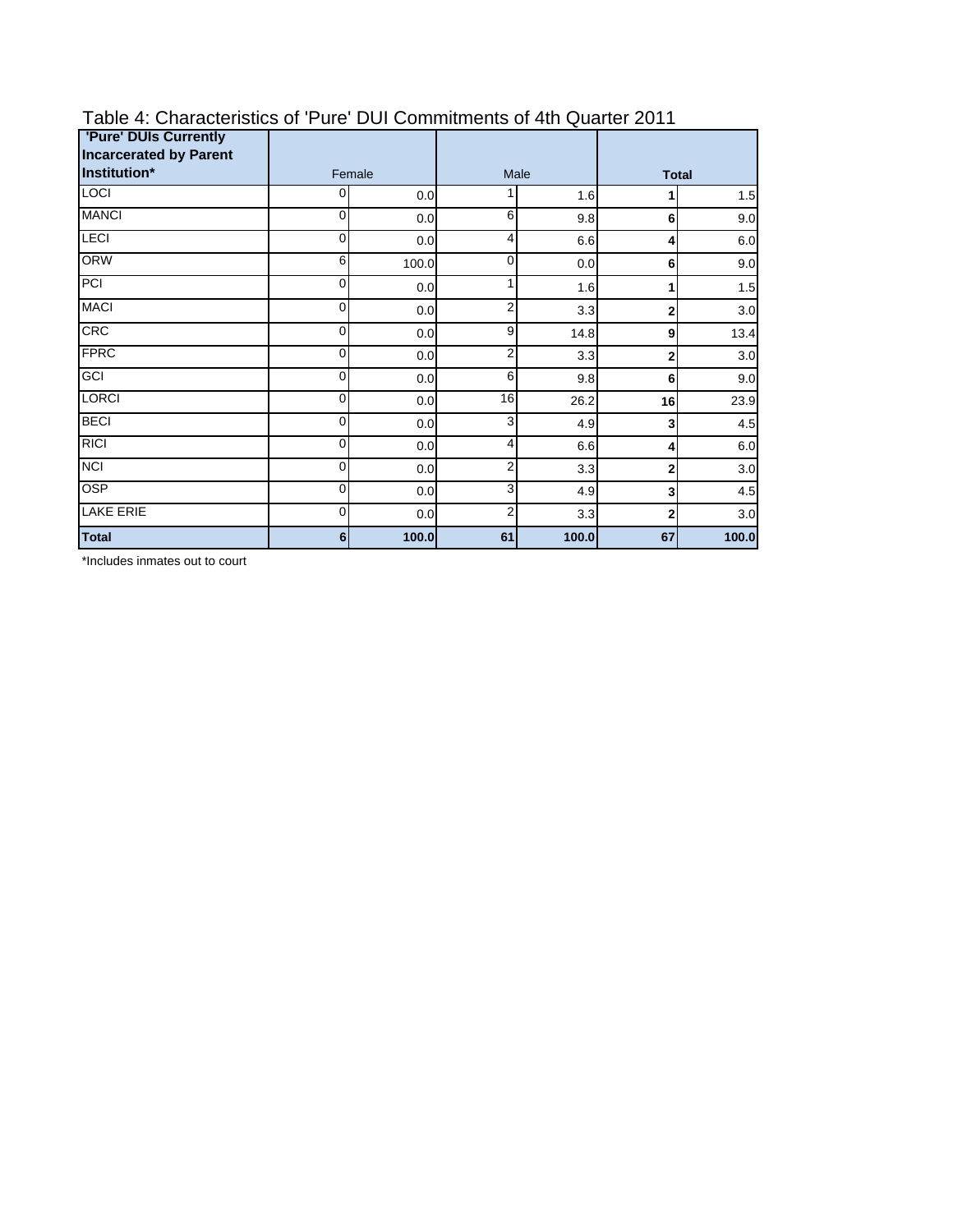| 'Pure' DUIs Currently<br><b>Incarcerated by Parent</b> |             |       |                |       |              |       |
|--------------------------------------------------------|-------------|-------|----------------|-------|--------------|-------|
| Institution*                                           | Female      |       | Male           |       | <b>Total</b> |       |
| <b>LOCI</b>                                            | 0           | 0.0   |                | 1.6   |              | 1.5   |
| <b>MANCI</b>                                           | 0           | 0.0   | 6              | 9.8   | 6            | 9.0   |
| <b>LECI</b>                                            | 0           | 0.0   | 4              | 6.6   | 4            | 6.0   |
| <b>ORW</b>                                             | 6           | 100.0 | 0              | 0.0   | 6            | 9.0   |
| PCI                                                    | 0           | 0.0   |                | 1.6   |              | 1.5   |
| <b>MACI</b>                                            | 0           | 0.0   | 2              | 3.3   | $\mathbf{2}$ | 3.0   |
| CRC                                                    | 0           | 0.0   | 9              | 14.8  | 9            | 13.4  |
| <b>FPRC</b>                                            | $\mathbf 0$ | 0.0   | $\overline{2}$ | 3.3   | 2            | 3.0   |
| GCI                                                    | $\mathbf 0$ | 0.0   | 6              | 9.8   | 6            | 9.0   |
| <b>LORCI</b>                                           | 0           | 0.0   | 16             | 26.2  | 16           | 23.9  |
| <b>BECI</b>                                            | 0           | 0.0   | 3              | 4.9   | 3            | 4.5   |
| <b>RICI</b>                                            | 0           | 0.0   | 4              | 6.6   | 4            | 6.0   |
| <b>NCI</b>                                             | 0           | 0.0   | 2              | 3.3   | $\mathbf 2$  | 3.0   |
| <b>OSP</b>                                             | 0           | 0.0   | 3              | 4.9   | 3            | 4.5   |
| <b>LAKE ERIE</b>                                       | 0           | 0.0   | 2              | 3.3   | 2            | 3.0   |
| <b>Total</b>                                           | 6           | 100.0 | 61             | 100.0 | 67           | 100.0 |

## Table 4: Characteristics of 'Pure' DUI Commitments of 4th Quarter 2011

\*Includes inmates out to court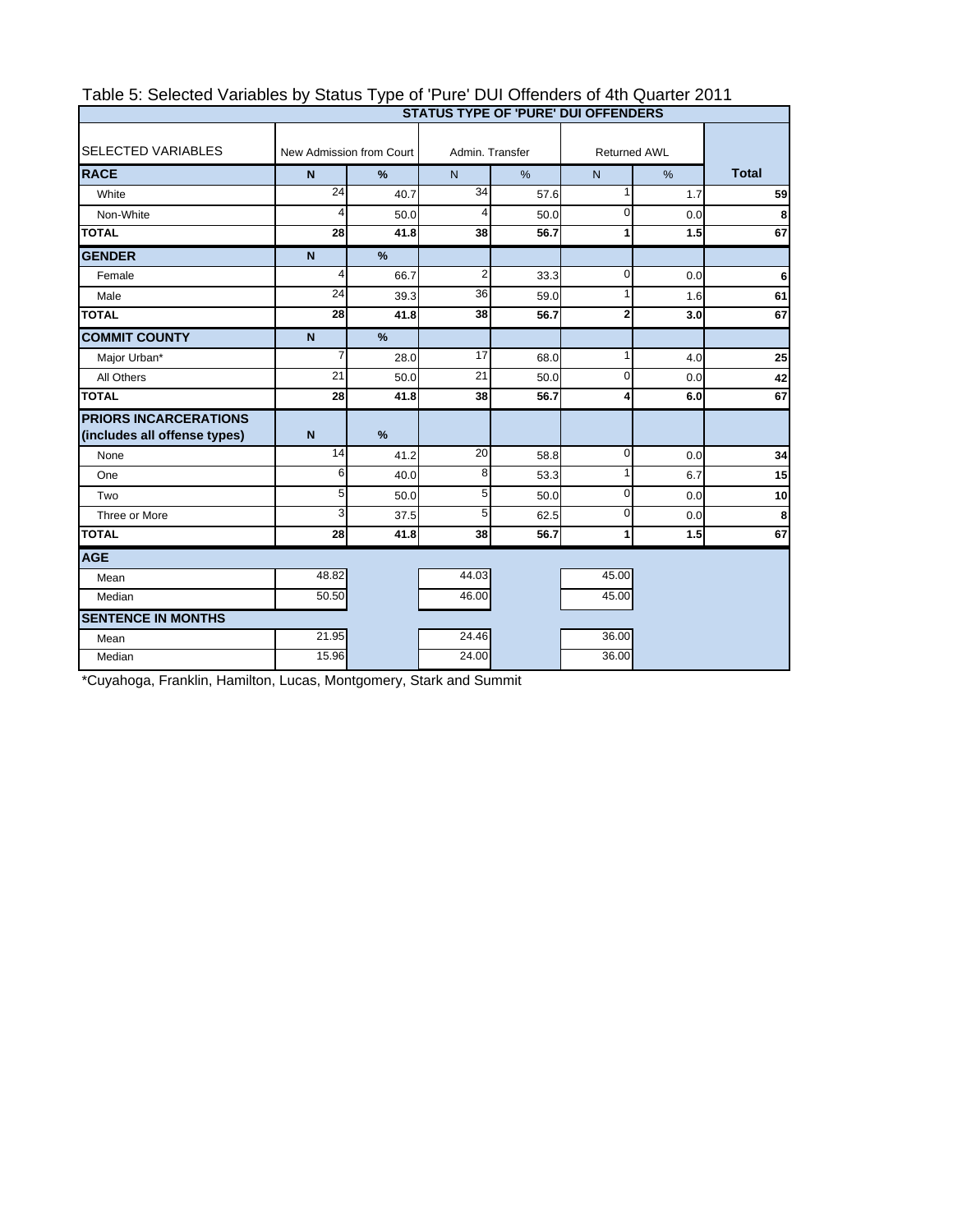| Table 5: Selected Variables by Status Type of 'Pure' DUI Offenders of 4th Quarter 2011 |
|----------------------------------------------------------------------------------------|
| <b>OTATUO TVDE OF IBUDELBUL OFFENDEDO</b>                                              |

÷, 

|                                                              |                          |               |                 |      | <b>STATUS TYPE OF 'PURE' DUI OFFENDERS</b> |               |              |
|--------------------------------------------------------------|--------------------------|---------------|-----------------|------|--------------------------------------------|---------------|--------------|
| <b>SELECTED VARIABLES</b>                                    | New Admission from Court |               | Admin, Transfer |      | <b>Returned AWL</b>                        |               |              |
| <b>RACE</b>                                                  | $\overline{N}$           | $\%$          | $\overline{N}$  | %    | N                                          | $\frac{9}{6}$ | <b>Total</b> |
| White                                                        | $\overline{24}$          | 40.7          | 34              | 57.6 | 1                                          | 1.7           | 59           |
| Non-White                                                    | 4                        | 50.0          | $\overline{4}$  | 50.0 | $\mathbf 0$                                | 0.0           | 8            |
| <b>TOTAL</b>                                                 | 28                       | 41.8          | 38              | 56.7 | 1                                          | 1.5           | 67           |
| <b>GENDER</b>                                                | $\mathbf N$              | $\frac{9}{6}$ |                 |      |                                            |               |              |
| Female                                                       | 4                        | 66.7          | $\overline{2}$  | 33.3 | $\Omega$                                   | 0.0           | 6            |
| Male                                                         | 24                       | 39.3          | 36              | 59.0 | 1                                          | 1.6           | 61           |
| <b>TOTAL</b>                                                 | 28                       | 41.8          | 38              | 56.7 | $\overline{2}$                             | 3.0           | 67           |
| <b>COMMIT COUNTY</b>                                         | $\mathbf N$              | $\frac{9}{6}$ |                 |      |                                            |               |              |
| Major Urban*                                                 | 7                        | 28.0          | 17              | 68.0 | 1                                          | 4.0           | 25           |
| All Others                                                   | 21                       | 50.0          | 21              | 50.0 | $\mathbf 0$                                | 0.0           | 42           |
| <b>TOTAL</b>                                                 | 28                       | 41.8          | 38              | 56.7 | 4                                          | 6.0           | 67           |
| <b>PRIORS INCARCERATIONS</b><br>(includes all offense types) | $\mathbf N$              | $\frac{9}{6}$ |                 |      |                                            |               |              |
| None                                                         | 14                       | 41.2          | 20              | 58.8 | $\mathbf 0$                                | 0.0           | 34           |
| One                                                          | 6                        | 40.0          | 8               | 53.3 | 1                                          | 6.7           | 15           |
| Two                                                          | 5                        | 50.0          | 5               | 50.0 | $\mathbf 0$                                | 0.0           | 10           |
| Three or More                                                | 3                        | 37.5          | 5               | 62.5 | $\Omega$                                   | 0.0           | 8            |
| <b>TOTAL</b>                                                 | 28                       | 41.8          | 38              | 56.7 | 1                                          | 1.5           | 67           |
| <b>AGE</b>                                                   |                          |               |                 |      |                                            |               |              |
| Mean                                                         | 48.82                    |               | 44.03           |      | 45.00                                      |               |              |
| Median                                                       | 50.50                    |               | 46.00           |      | 45.00                                      |               |              |
| <b>SENTENCE IN MONTHS</b>                                    |                          |               |                 |      |                                            |               |              |
| Mean                                                         | 21.95                    |               | 24.46           |      | 36.00                                      |               |              |
| Median                                                       | 15.96                    |               | 24.00           |      | 36.00                                      |               |              |

\*Cuyahoga, Franklin, Hamilton, Lucas, Montgomery, Stark and Summit